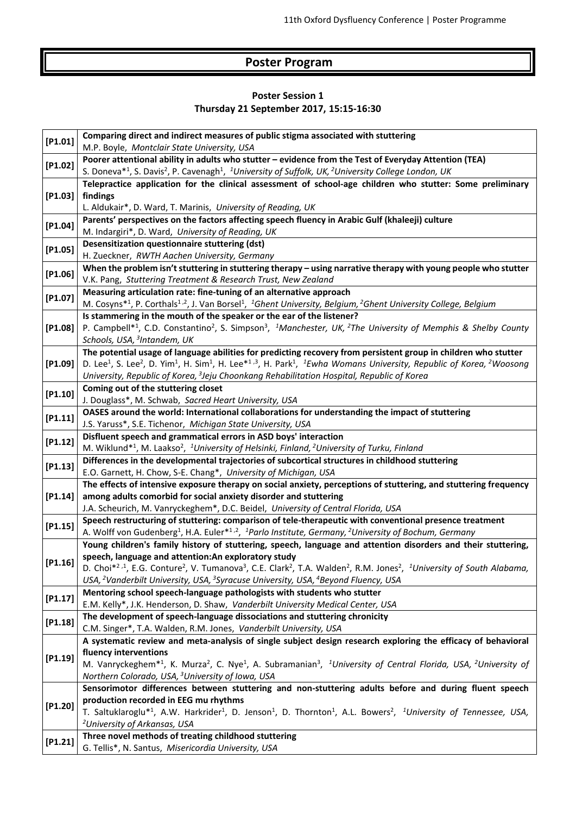## **Poster Program**

## **Poster Session 1 Thursday 21 September 2017, 15:15-16:30**

| [P1.01]    | Comparing direct and indirect measures of public stigma associated with stuttering<br>M.P. Boyle, Montclair State University, USA                                                                                                                                                                                                                                                                                                                                                                           |
|------------|-------------------------------------------------------------------------------------------------------------------------------------------------------------------------------------------------------------------------------------------------------------------------------------------------------------------------------------------------------------------------------------------------------------------------------------------------------------------------------------------------------------|
| [P1.02]    | Poorer attentional ability in adults who stutter - evidence from the Test of Everyday Attention (TEA)<br>S. Doneva <sup>*1</sup> , S. Davis <sup>2</sup> , P. Cavenagh <sup>1</sup> , <sup>1</sup> University of Suffolk, UK, <sup>2</sup> University College London, UK                                                                                                                                                                                                                                    |
| [P1.03]    | Telepractice application for the clinical assessment of school-age children who stutter: Some preliminary<br>findings<br>L. Aldukair*, D. Ward, T. Marinis, University of Reading, UK                                                                                                                                                                                                                                                                                                                       |
| [P1.04]    | Parents' perspectives on the factors affecting speech fluency in Arabic Gulf (khaleeji) culture<br>M. Indargiri*, D. Ward, University of Reading, UK                                                                                                                                                                                                                                                                                                                                                        |
| [P1.05]    | Desensitization questionnaire stuttering (dst)<br>H. Zueckner, RWTH Aachen University, Germany                                                                                                                                                                                                                                                                                                                                                                                                              |
| [P1.06]    | When the problem isn't stuttering in stuttering therapy - using narrative therapy with young people who stutter<br>V.K. Pang, Stuttering Treatment & Research Trust, New Zealand                                                                                                                                                                                                                                                                                                                            |
| [P1.07]    | Measuring articulation rate: fine-tuning of an alternative approach<br>M. Cosyns*1, P. Corthals <sup>1,2</sup> , J. Van Borsel <sup>1</sup> , <sup>1</sup> Ghent University, Belgium, <sup>2</sup> Ghent University College, Belgium                                                                                                                                                                                                                                                                        |
| $[P1.08]$  | Is stammering in the mouth of the speaker or the ear of the listener?<br>P. Campbell <sup>*1</sup> , C.D. Constantino <sup>2</sup> , S. Simpson <sup>3</sup> , <sup>1</sup> Manchester, UK, <sup>2</sup> The University of Memphis & Shelby County<br>Schools, USA, <sup>3</sup> Intandem, UK                                                                                                                                                                                                               |
| $[$ 91.09] | The potential usage of language abilities for predicting recovery from persistent group in children who stutter<br>D. Lee <sup>1</sup> , S. Lee <sup>2</sup> , D. Yim <sup>1</sup> , H. Sim <sup>1</sup> , H. Lee <sup>*1,3</sup> , H. Park <sup>1</sup> , <sup>1</sup> Ewha Womans University, Republic of Korea, <sup>2</sup> Woosong<br>University, Republic of Korea, <sup>3</sup> Jeju Choonkang Rehabilitation Hospital, Republic of Korea                                                            |
| [P1.10]    | Coming out of the stuttering closet<br>J. Douglass*, M. Schwab, Sacred Heart University, USA                                                                                                                                                                                                                                                                                                                                                                                                                |
| [P1.11]    | OASES around the world: International collaborations for understanding the impact of stuttering<br>J.S. Yaruss*, S.E. Tichenor, Michigan State University, USA                                                                                                                                                                                                                                                                                                                                              |
| [P1.12]    | Disfluent speech and grammatical errors in ASD boys' interaction<br>M. Wiklund* <sup>1</sup> , M. Laakso <sup>2</sup> , <sup>1</sup> University of Helsinki, Finland, <sup>2</sup> University of Turku, Finland                                                                                                                                                                                                                                                                                             |
| [P1.13]    | Differences in the developmental trajectories of subcortical structures in childhood stuttering<br>E.O. Garnett, H. Chow, S-E. Chang*, University of Michigan, USA                                                                                                                                                                                                                                                                                                                                          |
| [P1.14]    | The effects of intensive exposure therapy on social anxiety, perceptions of stuttering, and stuttering frequency<br>among adults comorbid for social anxiety disorder and stuttering<br>J.A. Scheurich, M. Vanryckeghem*, D.C. Beidel, University of Central Florida, USA                                                                                                                                                                                                                                   |
| [P1.15]    | Speech restructuring of stuttering: comparison of tele-therapeutic with conventional presence treatment<br>A. Wolff von Gudenberg <sup>1</sup> , H.A. Euler <sup>*1,2</sup> , <sup>1</sup> Parlo Institute, Germany, <sup>2</sup> University of Bochum, Germany                                                                                                                                                                                                                                             |
| [P1.16]    | Young children's family history of stuttering, speech, language and attention disorders and their stuttering,<br>speech, language and attention: An exploratory study<br>D. Choi <sup>*2,1</sup> , E.G. Conture <sup>2</sup> , V. Tumanova <sup>3</sup> , C.E. Clark <sup>2</sup> , T.A. Walden <sup>2</sup> , R.M. Jones <sup>2</sup> , <sup>1</sup> University of South Alabama,<br>USA, <sup>2</sup> Vanderbilt University, USA, <sup>3</sup> Syracuse University, USA, <sup>4</sup> Beyond Fluency, USA |
| [P1.17]    | Mentoring school speech-language pathologists with students who stutter<br>E.M. Kelly*, J.K. Henderson, D. Shaw, Vanderbilt University Medical Center, USA                                                                                                                                                                                                                                                                                                                                                  |
| [P1.18]    | The development of speech-language dissociations and stuttering chronicity<br>C.M. Singer*, T.A. Walden, R.M. Jones, Vanderbilt University, USA                                                                                                                                                                                                                                                                                                                                                             |
| [P1.19]    | A systematic review and meta-analysis of single subject design research exploring the efficacy of behavioral<br>fluency interventions<br>M. Vanryckeghem <sup>*1</sup> , K. Murza <sup>2</sup> , C. Nye <sup>1</sup> , A. Subramanian <sup>3</sup> , <sup>1</sup> University of Central Florida, USA, <sup>2</sup> University of<br>Northern Colorado, USA, <sup>3</sup> University of Iowa, USA                                                                                                            |
| [P1.20]    | Sensorimotor differences between stuttering and non-stuttering adults before and during fluent speech<br>production recorded in EEG mu rhythms<br>T. Saltuklaroglu* <sup>1</sup> , A.W. Harkrider <sup>1</sup> , D. Jenson <sup>1</sup> , D. Thornton <sup>1</sup> , A.L. Bowers <sup>2</sup> , <sup>1</sup> University of Tennessee, USA,<br><sup>2</sup> University of Arkansas, USA                                                                                                                      |
| [P1.21]    | Three novel methods of treating childhood stuttering<br>G. Tellis*, N. Santus, Misericordia University, USA                                                                                                                                                                                                                                                                                                                                                                                                 |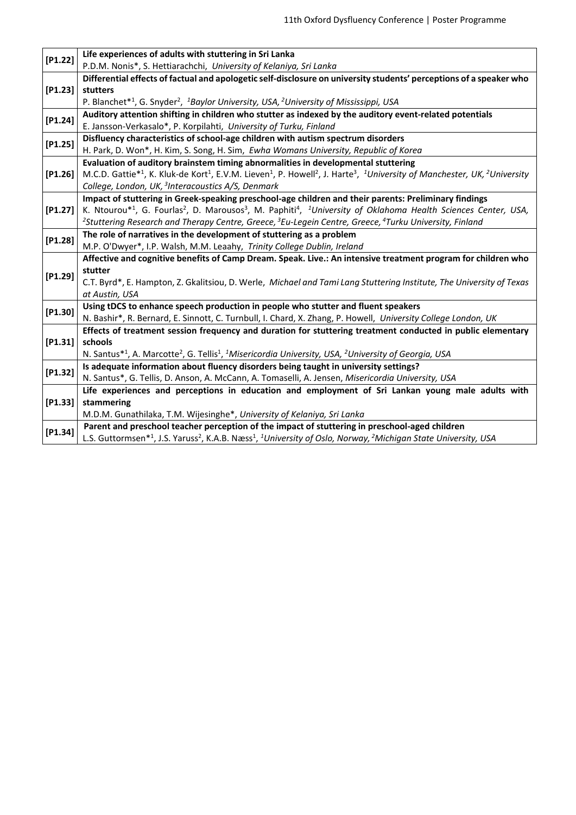| [P1.22]   | Life experiences of adults with stuttering in Sri Lanka                                                                                                                                                       |
|-----------|---------------------------------------------------------------------------------------------------------------------------------------------------------------------------------------------------------------|
|           | P.D.M. Nonis*, S. Hettiarachchi, University of Kelaniya, Sri Lanka                                                                                                                                            |
| [P1.23]   | Differential effects of factual and apologetic self-disclosure on university students' perceptions of a speaker who                                                                                           |
|           | stutters                                                                                                                                                                                                      |
|           | P. Blanchet* <sup>1</sup> , G. Snyder <sup>2</sup> , <sup>1</sup> Baylor University, USA, <sup>2</sup> University of Mississippi, USA                                                                         |
| [P1.24]   | Auditory attention shifting in children who stutter as indexed by the auditory event-related potentials                                                                                                       |
|           | E. Jansson-Verkasalo*, P. Korpilahti, University of Turku, Finland                                                                                                                                            |
| $[P1.25]$ | Disfluency characteristics of school-age children with autism spectrum disorders                                                                                                                              |
|           | H. Park, D. Won*, H. Kim, S. Song, H. Sim, Ewha Womans University, Republic of Korea                                                                                                                          |
| $[P1.26]$ | Evaluation of auditory brainstem timing abnormalities in developmental stuttering                                                                                                                             |
|           | M.C.D. Gattie* <sup>1</sup> , K. Kluk-de Kort <sup>1</sup> , E.V.M. Lieven <sup>1</sup> , P. Howell <sup>2</sup> , J. Harte <sup>3</sup> , <sup>1</sup> University of Manchester, UK, <sup>2</sup> University |
|           | College, London, UK, <sup>3</sup> Interacoustics A/S, Denmark                                                                                                                                                 |
|           | Impact of stuttering in Greek-speaking preschool-age children and their parents: Preliminary findings                                                                                                         |
| [P1.27]   | K. Ntourou*1, G. Fourlas <sup>2</sup> , D. Marousos <sup>3</sup> , M. Paphiti <sup>4</sup> , <sup>1</sup> University of Oklahoma Health Sciences Center, USA,                                                 |
|           | <sup>2</sup> Stuttering Research and Therapy Centre, Greece, <sup>3</sup> Eu-Legein Centre, Greece, <sup>4</sup> Turku University, Finland                                                                    |
| [P1.28]   | The role of narratives in the development of stuttering as a problem                                                                                                                                          |
|           | M.P. O'Dwyer*, I.P. Walsh, M.M. Leaahy, Trinity College Dublin, Ireland                                                                                                                                       |
|           | Affective and cognitive benefits of Camp Dream. Speak. Live.: An intensive treatment program for children who                                                                                                 |
| [P1.29]   | stutter                                                                                                                                                                                                       |
|           | C.T. Byrd*, E. Hampton, Z. Gkalitsiou, D. Werle, Michael and Tami Lang Stuttering Institute, The University of Texas                                                                                          |
|           | at Austin, USA                                                                                                                                                                                                |
| [P1.30]   | Using tDCS to enhance speech production in people who stutter and fluent speakers                                                                                                                             |
|           | N. Bashir*, R. Bernard, E. Sinnott, C. Turnbull, I. Chard, X. Zhang, P. Howell, University College London, UK                                                                                                 |
| [P1.31]   | Effects of treatment session frequency and duration for stuttering treatment conducted in public elementary                                                                                                   |
|           | schools                                                                                                                                                                                                       |
|           | N. Santus* <sup>1</sup> , A. Marcotte <sup>2</sup> , G. Tellis <sup>1</sup> , <sup>1</sup> Misericordia University, USA, <sup>2</sup> University of Georgia, USA                                              |
| $[P1.32]$ | Is adequate information about fluency disorders being taught in university settings?                                                                                                                          |
|           | N. Santus*, G. Tellis, D. Anson, A. McCann, A. Tomaselli, A. Jensen, Misericordia University, USA                                                                                                             |
| [P1.33]   | Life experiences and perceptions in education and employment of Sri Lankan young male adults with                                                                                                             |
|           | stammering                                                                                                                                                                                                    |
|           | M.D.M. Gunathilaka, T.M. Wijesinghe*, University of Kelaniya, Sri Lanka                                                                                                                                       |
| [P1.34]   | Parent and preschool teacher perception of the impact of stuttering in preschool-aged children                                                                                                                |
|           | L.S. Guttormsen* <sup>1</sup> , J.S. Yaruss <sup>2</sup> , K.A.B. Næss <sup>1</sup> , <sup>1</sup> University of Oslo, Norway, <sup>2</sup> Michigan State University, USA                                    |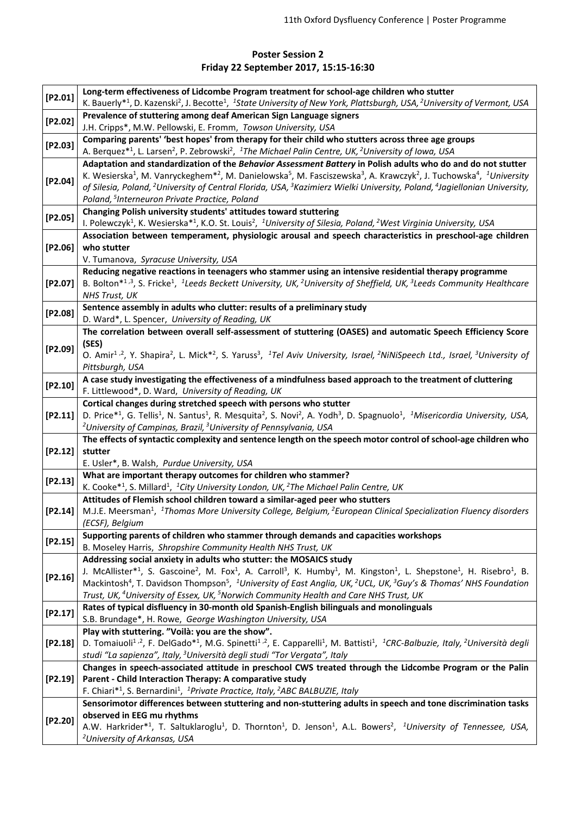## **Poster Session 2 Friday 22 September 2017, 15:15-16:30**

| [P2.01]   | Long-term effectiveness of Lidcombe Program treatment for school-age children who stutter<br>K. Bauerly* <sup>1</sup> , D. Kazenski <sup>2</sup> , J. Becotte <sup>1</sup> , <sup>1</sup> State University of New York, Plattsburgh, USA, <sup>2</sup> University of Vermont, USA  |
|-----------|------------------------------------------------------------------------------------------------------------------------------------------------------------------------------------------------------------------------------------------------------------------------------------|
| [P2.02]   | Prevalence of stuttering among deaf American Sign Language signers<br>J.H. Cripps*, M.W. Pellowski, E. Fromm, Towson University, USA                                                                                                                                               |
|           | Comparing parents' 'best hopes' from therapy for their child who stutters across three age groups                                                                                                                                                                                  |
| [P2.03]   | A. Berquez* <sup>1</sup> , L. Larsen <sup>2</sup> , P. Zebrowski <sup>2</sup> , <sup>1</sup> The Michael Palin Centre, UK, <sup>2</sup> University of Iowa, USA                                                                                                                    |
|           | Adaptation and standardization of the Behavior Assessment Battery in Polish adults who do and do not stutter                                                                                                                                                                       |
| $[P2.04]$ | K. Wesierska <sup>1</sup> , M. Vanryckeghem <sup>*2</sup> , M. Danielowska <sup>5</sup> , M. Fasciszewska <sup>3</sup> , A. Krawczyk <sup>2</sup> , J. Tuchowska <sup>4</sup> , <sup>1</sup> University                                                                            |
|           | of Silesia, Poland, <sup>2</sup> University of Central Florida, USA, <sup>3</sup> Kazimierz Wielki University, Poland, <sup>4</sup> Jagiellonian University,                                                                                                                       |
|           | Poland, <sup>5</sup> Interneuron Private Practice, Poland                                                                                                                                                                                                                          |
| [P2.05]   | Changing Polish university students' attitudes toward stuttering                                                                                                                                                                                                                   |
|           | I. Polewczyk <sup>1</sup> , K. Wesierska <sup>*1</sup> , K.O. St. Louis <sup>2</sup> , <sup>1</sup> University of Silesia, Poland, <sup>2</sup> West Virginia University, USA                                                                                                      |
| [P2.06]   | Association between temperament, physiologic arousal and speech characteristics in preschool-age children                                                                                                                                                                          |
|           | who stutter                                                                                                                                                                                                                                                                        |
|           | V. Tumanova, Syracuse University, USA                                                                                                                                                                                                                                              |
|           | Reducing negative reactions in teenagers who stammer using an intensive residential therapy programme                                                                                                                                                                              |
| $[P2.07]$ | B. Bolton*1,3, S. Fricke <sup>1</sup> , <sup>1</sup> Leeds Beckett University, UK, <sup>2</sup> University of Sheffield, UK, <sup>3</sup> Leeds Community Healthcare                                                                                                               |
|           | <b>NHS Trust, UK</b>                                                                                                                                                                                                                                                               |
| [P2.08]   | Sentence assembly in adults who clutter: results of a preliminary study                                                                                                                                                                                                            |
|           | D. Ward*, L. Spencer, University of Reading, UK                                                                                                                                                                                                                                    |
|           | The correlation between overall self-assessment of stuttering (OASES) and automatic Speech Efficiency Score                                                                                                                                                                        |
| [P2.09]   | (SES)                                                                                                                                                                                                                                                                              |
|           | O. Amir <sup>1,2</sup> , Y. Shapira <sup>2</sup> , L. Mick <sup>*2</sup> , S. Yaruss <sup>3</sup> , <sup>1</sup> Tel Aviv University, Israel, <sup>2</sup> NiNiSpeech Ltd., Israel, <sup>3</sup> University of                                                                     |
|           | Pittsburgh, USA                                                                                                                                                                                                                                                                    |
| [P2.10]   | A case study investigating the effectiveness of a mindfulness based approach to the treatment of cluttering                                                                                                                                                                        |
|           | F. Littlewood*, D. Ward, University of Reading, UK                                                                                                                                                                                                                                 |
| [P2.11]   | Cortical changes during stretched speech with persons who stutter<br>D. Price*1, G. Tellis <sup>1</sup> , N. Santus <sup>1</sup> , R. Mesquita <sup>2</sup> , S. Novi <sup>2</sup> , A. Yodh <sup>3</sup> , D. Spagnuolo <sup>1</sup> , <sup>1</sup> Misericordia University, USA, |
|           | <sup>2</sup> University of Campinas, Brazil, <sup>3</sup> University of Pennsylvania, USA                                                                                                                                                                                          |
|           | The effects of syntactic complexity and sentence length on the speech motor control of school-age children who                                                                                                                                                                     |
| [P2.12]   | stutter                                                                                                                                                                                                                                                                            |
|           | E. Usler*, B. Walsh, Purdue University, USA                                                                                                                                                                                                                                        |
|           | What are important therapy outcomes for children who stammer?                                                                                                                                                                                                                      |
| [P2.13]   | K. Cooke <sup>*1</sup> , S. Millard <sup>1</sup> , <sup>1</sup> City University London, UK, <sup>2</sup> The Michael Palin Centre, UK                                                                                                                                              |
|           | Attitudes of Flemish school children toward a similar-aged peer who stutters                                                                                                                                                                                                       |
|           | [P2.14] M.J.E. Meersman <sup>1</sup> , <sup>1</sup> Thomas More University College, Belgium, <sup>2</sup> European Clinical Specialization Fluency disorders                                                                                                                       |
|           | (ECSF), Belgium                                                                                                                                                                                                                                                                    |
| [P2.15]   | Supporting parents of children who stammer through demands and capacities workshops                                                                                                                                                                                                |
|           | B. Moseley Harris, Shropshire Community Health NHS Trust, UK                                                                                                                                                                                                                       |
|           | Addressing social anxiety in adults who stutter: the MOSAICS study                                                                                                                                                                                                                 |
| [P2.16]   | J. McAllister*1, S. Gascoine <sup>2</sup> , M. Fox <sup>1</sup> , A. Carroll <sup>3</sup> , K. Humby <sup>1</sup> , M. Kingston <sup>1</sup> , L. Shepstone <sup>1</sup> , H. Risebro <sup>1</sup> , B.                                                                            |
|           | Mackintosh <sup>4</sup> , T. Davidson Thompson <sup>5</sup> , <sup>1</sup> University of East Anglia, UK, <sup>2</sup> UCL, UK, <sup>3</sup> Guy's & Thomas' NHS Foundation                                                                                                        |
|           | Trust, UK, <sup>4</sup> University of Essex, UK, <sup>5</sup> Norwich Community Health and Care NHS Trust, UK                                                                                                                                                                      |
| [P2.17]   | Rates of typical disfluency in 30-month old Spanish-English bilinguals and monolinguals<br>S.B. Brundage*, H. Rowe, George Washington University, USA                                                                                                                              |
|           | Play with stuttering. "Voilà: you are the show".                                                                                                                                                                                                                                   |
| [P2.18]   | D. Tomaiuoli <sup>1,2</sup> , F. DelGado <sup>*1</sup> , M.G. Spinetti <sup>1,2</sup> , E. Capparelli <sup>1</sup> , M. Battisti <sup>1</sup> , <sup>1</sup> CRC-Balbuzie, Italy, <sup>2</sup> Università degli                                                                    |
|           | studi "La sapienza", Italy, <sup>3</sup> Università degli studi "Tor Vergata", Italy                                                                                                                                                                                               |
|           | Changes in speech-associated attitude in preschool CWS treated through the Lidcombe Program or the Palin                                                                                                                                                                           |
| $[P2.19]$ | Parent - Child Interaction Therapy: A comparative study                                                                                                                                                                                                                            |
|           | F. Chiari* <sup>1</sup> , S. Bernardini <sup>1</sup> , <sup>1</sup> Private Practice, Italy, <sup>2</sup> ABC BALBUZIE, Italy                                                                                                                                                      |
| [P2.20]   | Sensorimotor differences between stuttering and non-stuttering adults in speech and tone discrimination tasks                                                                                                                                                                      |
|           | observed in EEG mu rhythms                                                                                                                                                                                                                                                         |
|           | A.W. Harkrider*1, T. Saltuklaroglu <sup>1</sup> , D. Thornton <sup>1</sup> , D. Jenson <sup>1</sup> , A.L. Bowers <sup>2</sup> , <sup>1</sup> University of Tennessee, USA,                                                                                                        |
|           | <sup>2</sup> University of Arkansas, USA                                                                                                                                                                                                                                           |